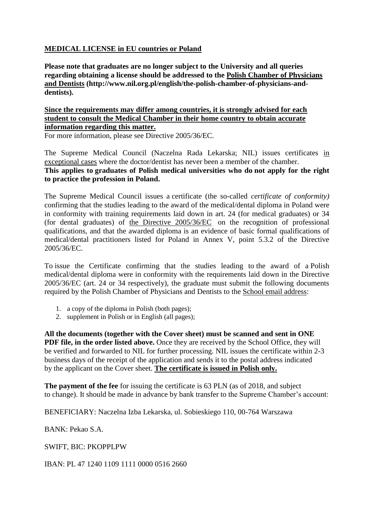## **MEDICAL LICENSE in EU countries or Poland**

**Please note that graduates are no longer subject to the University and all queries regarding obtaining a license should be addressed to the [Polish Chamber of Physicians](http://www.nil.org.pl/english) and Dentists [\(http://www.nil.org.pl/english/the-polish-chamber-of-physicians-and](http://www.nil.org.pl/english)[dentists\).](http://www.nil.org.pl/english)**

#### **Since the requirements may differ among countries, it is strongly advised for each student to consult the Medical Chamber in their home country to obtain accurate information regarding this matter.**

For more information, please see Directive 2005/36/EC.

The Supreme Medical Council (Naczelna Rada Lekarska; NIL) issues certificates in exceptional cases where the doctor/dentist has never been a member of the chamber. **This applies to graduates of Polish medical universities who do not apply for the right to practice the profession in Poland.** 

The Supreme Medical Council issues a certificate (the so-called *certificate of conformity)*  confirming that the studies leading to the award of the medical/dental diploma in Poland were in conformity with training requirements laid down in art. 24 (for medical graduates) or 34 (for dental graduates) of [the Directive 2005/36/EC](http://eur-lex.europa.eu/legal-content/EN/TXT/?uri=celex%3A32005L0036) on the recognition of professional qualifications, and that the awarded diploma is an evidence of basic formal qualifications of medical/dental practitioners listed for Poland in Annex V, point 5.3.2 of the Directive 2005/36/EC.

To issue the Certificate confirming that the studies leading to the award of a Polish medical/dental diploma were in conformity with the requirements laid down in the Directive 2005/36/EC (art. 24 or 34 respectively), the graduate must submit the following documents required by the Polish Chamber of Physicians and Dentists to the [School email address:](mailto:smeoffice@cm-uj.krakow.pl)

- 1. a copy of the diploma in Polish (both pages);
- 2. supplement in Polish or in English (all pages);

**All the documents (together with the Cover sheet) must be scanned and sent in ONE PDF file, in the order listed above.** Once they are received by the School Office, they will be verified and forwarded to NIL for further processing. NIL issues the certificate within 2-3 business days of the receipt of the application and sends it to the postal address indicated by the applicant on the Cover sheet. **The certificate is issued in Polish only.**

**The payment of the fee** for issuing the certificate is 63 PLN (as of 2018, and subject to change). It should be made in advance by bank transfer to the Supreme Chamber's account:

BENEFICIARY: Naczelna Izba Lekarska, ul. Sobieskiego 110, 00-764 Warszawa

BANK: Pekao S.A.

SWIFT, BIC: PKOPPLPW

IBAN: PL 47 1240 1109 1111 0000 0516 2660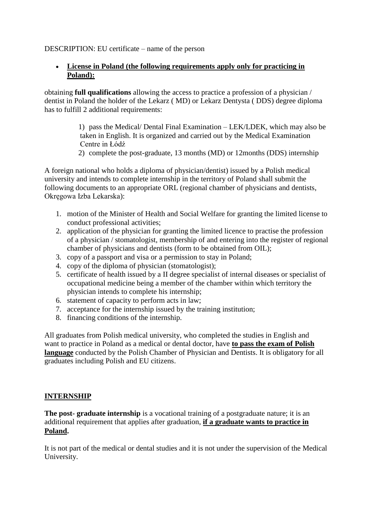### DESCRIPTION: EU certificate – name of the person

### **License in Poland (the following requirements apply only for practicing in Poland):**

obtaining **full qualifications** allowing the access to practice a profession of a physician / dentist in Poland the holder of the Lekarz ( MD) or Lekarz Dentysta ( DDS) degree diploma has to fulfill 2 additional requirements:

> 1) pass the Medical/ Dental Final Examination – LEK/LDEK, which may also be taken in English. It is organized and carried out by the Medical Examination Centre in Łódź

2) complete the post-graduate, 13 months (MD) or 12months (DDS) internship

A foreign national who holds a diploma of physician/dentist) issued by a Polish medical university and intends to complete internship in the territory of Poland shall submit the following documents to an appropriate ORL (regional chamber of physicians and dentists, Okręgowa Izba Lekarska):

- 1. motion of the Minister of Health and Social Welfare for granting the limited license to conduct professional activities;
- 2. application of the physician for granting the limited licence to practise the profession of a physician / stomatologist, membership of and entering into the register of regional chamber of physicians and dentists (form to be obtained from OIL);
- 3. copy of a passport and visa or a permission to stay in Poland;
- 4. copy of the diploma of physician (stomatologist);
- 5. certificate of health issued by a II degree specialist of internal diseases or specialist of occupational medicine being a member of the chamber within which territory the physician intends to complete his internship;
- 6. statement of capacity to perform acts in law;
- 7. acceptance for the internship issued by the training institution;
- 8. financing conditions of the internship.

All graduates from Polish medical university, who completed the studies in English and want to practice in Poland as a medical or dental doctor, have **to pass the exam of Polish language** conducted by the Polish Chamber of Physician and Dentists. It is obligatory for all graduates including Polish and EU citizens.

### **INTERNSHIP**

**The post- graduate internship** is a vocational training of a postgraduate nature; it is an additional requirement that applies after graduation, **if a graduate wants to practice in Poland.**

It is not part of the medical or dental studies and it is not under the supervision of the Medical University.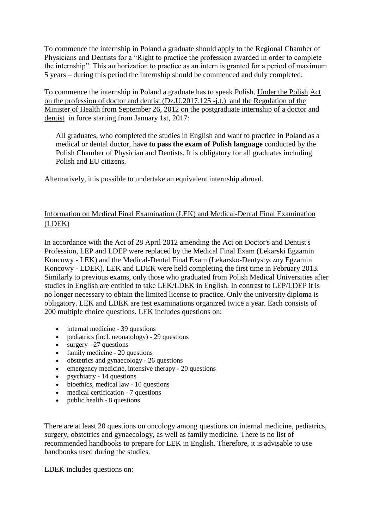To commence the internship in Poland a graduate should apply to the Regional Chamber of Physicians and Dentists for a "Right to practice the profession awarded in order to complete the internship". This authorization to practice as an intern is granted for a period of maximum 5 years – during this period the internship should be commenced and duly completed.

To commence the internship in Poland a graduate has to speak Polish. Under the Polish Act on the profession of doctor and dentist (Dz.U.2017.125 -j.t.) and the Regulation of the Minister of Health from September 26, 2012 on the postgraduate internship of a doctor and dentist in force starting from January 1st, 2017:

All graduates, who completed the studies in English and want to practice in Poland as a medical or dental doctor, have **to pass the exam of Polish language** conducted by the Polish Chamber of Physician and Dentists. It is obligatory for all graduates including Polish and EU citizens.

Alternatively, it is possible to undertake an equivalent internship abroad.

# Information on Medical Final Examination (LEK) and Medical-Dental Final Examination (LDEK)

In accordance with the Act of 28 April 2012 amending the Act on Doctor's and Dentist's Profession, LEP and LDEP were replaced by the Medical Final Exam (Lekarski Egzamin Koncowy - LEK) and the Medical-Dental Final Exam (Lekarsko-Dentystyczny Egzamin Koncowy - LDEK). LEK and LDEK were held completing the first time in February 2013. Similarly to previous exams, only those who graduated from Polish Medical Universities after studies in English are entitled to take LEK/LDEK in English. In contrast to LEP/LDEP it is no longer necessary to obtain the limited license to practice. Only the university diploma is obligatory. LEK and LDEK are test examinations organized twice a year. Each consists of 200 multiple choice questions. LEK includes questions on:

- internal medicine 39 questions
- pediatrics (incl. neonatology) 29 questions
- surgery 27 questions
- family medicine 20 questions
- obstetrics and gynaecology 26 questions
- emergency medicine, intensive therapy 20 questions
- psychiatry 14 questions
- bioethics, medical law 10 questions
- medical certification 7 questions
- $\bullet$  public health 8 questions

There are at least 20 questions on oncology among questions on internal medicine, pediatrics, surgery, obstetrics and gynaecology, as well as family medicine. There is no list of recommended handbooks to prepare for LEK in English. Therefore, it is advisable to use handbooks used during the studies.

LDEK includes questions on: